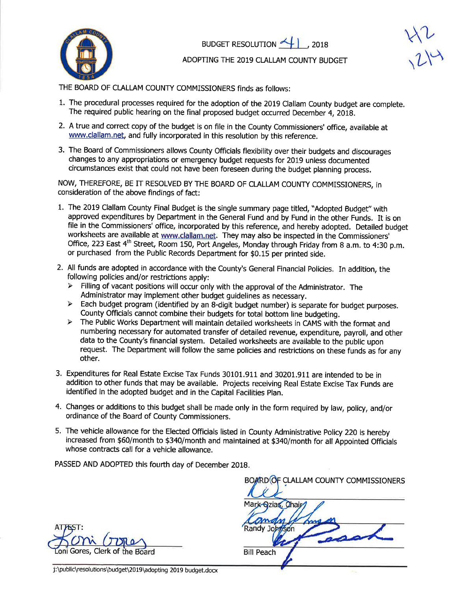

BUDGET RESOLUTION  $\leftarrow$  1, 2018

 $1/1$  $2\%$ 

## ADOPTNG THE 2019 CLALLAM COUNTY BUDGET

THE BOARD OF CLALLAM COUNTY COMMISSIONERS finds as foilows:

- 1. The procedural processes required for the adoption of the 2019 Clallam County budget are complete. The required public hearing on the final proposed budget occurred December 4, 2018.
- 2. A true and correct copy of the budget is on file ín the County Commissioners' office, available at www.clallam.net, and fully incorporated in this resolution by this reference.
- 3. The Board of Commissioners allows County Officials flexibility over their budgets and discourages changes to any appropriations or emergency budget requests for 2019 unless documented circumstances exist that could not have been foreseen during the budget planning process.

NOW, THEREFORE, BE IT RESOLVED BY THE BOARD OF CLALLAM COUNTY COMMISSIONERS, in consideration of the above findings of fact:

- 1. The 2019 Clallam County Final Budget is the single summary page titled, "Adopted Budget" with approved expenditures by Department in the General Fund and by Fund in the other Funds, It is on file in the Commissioners' office, incorporated by this reference, and hereby adopted. Detailed budget worksheets are available at www.clallam.net. They may also be inspected in the Commissioners' Office, 223 East 4<sup>th</sup> Street, Room 150, Port Angeles, Monday through Friday from 8 a.m. to 4:30 p.m. or purchased from the Public Records Department for \$0.15 per printed side.
- 2. All funds are adopted in accordance with the County's General Financial Policies. In addition, the following policies and/or restrictions apply:<br>  $\triangleright$  Filling of vacant positions will occur only with the approval of the Administrator. The
	-
	- Administrator may implement other budget guidelines as necessary.<br>
	> Each budget program (identified by an 8-digit budget number) is separate for budget purposes. County Officials cannot combine their budgets for total bottom line budgeting.<br>
	> The Public Works Department will maintain detailed worksheets in CAMS with the format and
	- numbering necessary for automated transfer of detailed revenue, expenditure, payroll, and other data to the County's financial system. Detailed worksheets are available to the public upon request. The Department will follow the same policies and restrictions on these funds as for any other.
- 3. Expenditures for Real Estate Excise Tax Funds 30101.911 and 30201.911 are intended to be in addition to other funds that may be available. Projects receiving Real Estate Excise Tax Funds are identified in the adopted budget and in the Capital Facilities plan.
- 4. Changes or additions to this budget shall be made only in the form requíred by law, policy, and/or ordinance of the Board of County Commissioners.
- 5. The vehicle allowance for the Elected Officials listed in County Administrative Policy 220 is hereby increased from \$60/month to \$340/month and maintained at \$340/month for all Appointed Officials whose contracts call for a vehicle allowance.

PASSED AND ADOPTED this fourth day of December 2018.

oni Gores, Clerk of the Board

BOARD OF CLALLAM COUNTY COMMISSIONERS Mark Qzias, Chair am Randy Johnson Bill Peach

j:\public\resolutions\budget\2019\adopting 2019 budget.docx